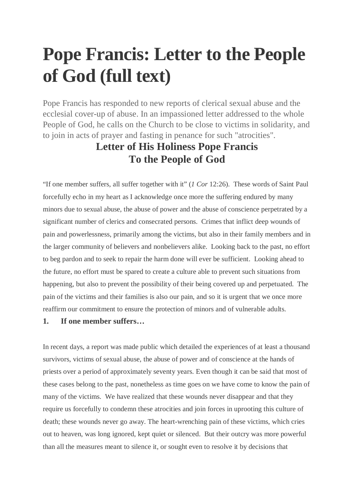# **Pope Francis: Letter to the People of God (full text)**

Pope Francis has responded to new reports of clerical sexual abuse and the ecclesial cover-up of abuse. In an impassioned letter addressed to the whole People of God, he calls on the Church to be close to victims in solidarity, and to join in acts of prayer and fasting in penance for such "atrocities".

# **Letter of His Holiness Pope Francis To the People of God**

"If one member suffers, all suffer together with it" (*1 Cor* 12:26). These words of Saint Paul forcefully echo in my heart as I acknowledge once more the suffering endured by many minors due to sexual abuse, the abuse of power and the abuse of conscience perpetrated by a significant number of clerics and consecrated persons. Crimes that inflict deep wounds of pain and powerlessness, primarily among the victims, but also in their family members and in the larger community of believers and nonbelievers alike. Looking back to the past, no effort to beg pardon and to seek to repair the harm done will ever be sufficient. Looking ahead to the future, no effort must be spared to create a culture able to prevent such situations from happening, but also to prevent the possibility of their being covered up and perpetuated. The pain of the victims and their families is also our pain, and so it is urgent that we once more reaffirm our commitment to ensure the protection of minors and of vulnerable adults.

## **1. If one member suffers…**

In recent days, a report was made public which detailed the experiences of at least a thousand survivors, victims of sexual abuse, the abuse of power and of conscience at the hands of priests over a period of approximately seventy years. Even though it can be said that most of these cases belong to the past, nonetheless as time goes on we have come to know the pain of many of the victims. We have realized that these wounds never disappear and that they require us forcefully to condemn these atrocities and join forces in uprooting this culture of death; these wounds never go away. The heart-wrenching pain of these victims, which cries out to heaven, was long ignored, kept quiet or silenced. But their outcry was more powerful than all the measures meant to silence it, or sought even to resolve it by decisions that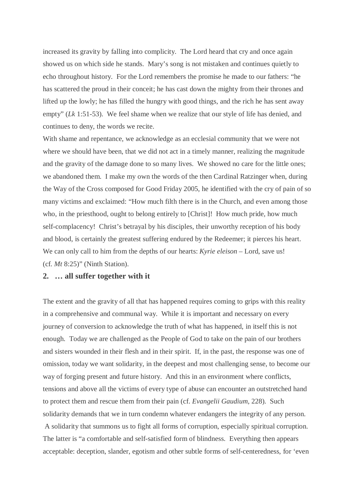increased its gravity by falling into complicity. The Lord heard that cry and once again showed us on which side he stands. Mary's song is not mistaken and continues quietly to echo throughout history. For the Lord remembers the promise he made to our fathers: "he has scattered the proud in their conceit; he has cast down the mighty from their thrones and lifted up the lowly; he has filled the hungry with good things, and the rich he has sent away empty" (*Lk* 1:51-53). We feel shame when we realize that our style of life has denied, and continues to deny, the words we recite.

With shame and repentance, we acknowledge as an ecclesial community that we were not where we should have been, that we did not act in a timely manner, realizing the magnitude and the gravity of the damage done to so many lives. We showed no care for the little ones; we abandoned them. I make my own the words of the then Cardinal Ratzinger when, during the Way of the Cross composed for Good Friday 2005, he identified with the cry of pain of so many victims and exclaimed: "How much filth there is in the Church, and even among those who, in the priesthood, ought to belong entirely to [Christ]! How much pride, how much self-complacency! Christ's betrayal by his disciples, their unworthy reception of his body and blood, is certainly the greatest suffering endured by the Redeemer; it pierces his heart. We can only call to him from the depths of our hearts: *Kyrie eleison* – Lord, save us! (cf. *Mt* 8:25)" (Ninth Station).

### **2. … all suffer together with it**

The extent and the gravity of all that has happened requires coming to grips with this reality in a comprehensive and communal way. While it is important and necessary on every journey of conversion to acknowledge the truth of what has happened, in itself this is not enough. Today we are challenged as the People of God to take on the pain of our brothers and sisters wounded in their flesh and in their spirit. If, in the past, the response was one of omission, today we want solidarity, in the deepest and most challenging sense, to become our way of forging present and future history. And this in an environment where conflicts, tensions and above all the victims of every type of abuse can encounter an outstretched hand to protect them and rescue them from their pain (cf. *Evangelii Gaudium*, 228). Such solidarity demands that we in turn condemn whatever endangers the integrity of any person. A solidarity that summons us to fight all forms of corruption, especially spiritual corruption. The latter is "a comfortable and self-satisfied form of blindness. Everything then appears acceptable: deception, slander, egotism and other subtle forms of self-centeredness, for 'even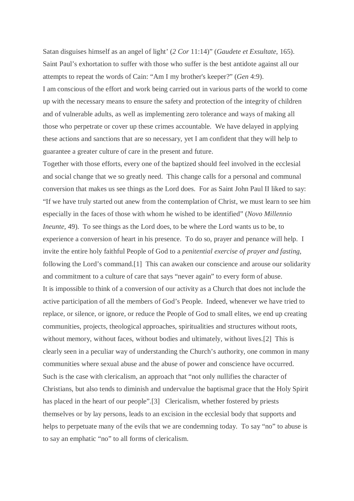Satan disguises himself as an angel of light' (*2 Cor* 11:14)" (*Gaudete et Exsultate*, 165). Saint Paul's exhortation to suffer with those who suffer is the best antidote against all our attempts to repeat the words of Cain: "Am I my brother's keeper?" (*Gen* 4:9). I am conscious of the effort and work being carried out in various parts of the world to come up with the necessary means to ensure the safety and protection of the integrity of children and of vulnerable adults, as well as implementing zero tolerance and ways of making all those who perpetrate or cover up these crimes accountable. We have delayed in applying these actions and sanctions that are so necessary, yet I am confident that they will help to guarantee a greater culture of care in the present and future.

Together with those efforts, every one of the baptized should feel involved in the ecclesial and social change that we so greatly need. This change calls for a personal and communal conversion that makes us see things as the Lord does. For as Saint John Paul II liked to say: "If we have truly started out anew from the contemplation of Christ, we must learn to see him especially in the faces of those with whom he wished to be identified" (*Novo Millennio Ineunte*, 49). To see things as the Lord does, to be where the Lord wants us to be, to experience a conversion of heart in his presence. To do so, prayer and penance will help. I invite the entire holy faithful People of God to a *penitential exercise of prayer and fasting*, following the Lord's command.[1] This can awaken our conscience and arouse our solidarity and commitment to a culture of care that says "never again" to every form of abuse. It is impossible to think of a conversion of our activity as a Church that does not include the active participation of all the members of God's People. Indeed, whenever we have tried to replace, or silence, or ignore, or reduce the People of God to small elites, we end up creating communities, projects, theological approaches, spiritualities and structures without roots, without memory, without faces, without bodies and ultimately, without lives.[2] This is clearly seen in a peculiar way of understanding the Church's authority, one common in many communities where sexual abuse and the abuse of power and conscience have occurred. Such is the case with clericalism, an approach that "not only nullifies the character of Christians, but also tends to diminish and undervalue the baptismal grace that the Holy Spirit has placed in the heart of our people".[3] Clericalism, whether fostered by priests themselves or by lay persons, leads to an excision in the ecclesial body that supports and helps to perpetuate many of the evils that we are condemning today. To say "no" to abuse is to say an emphatic "no" to all forms of clericalism.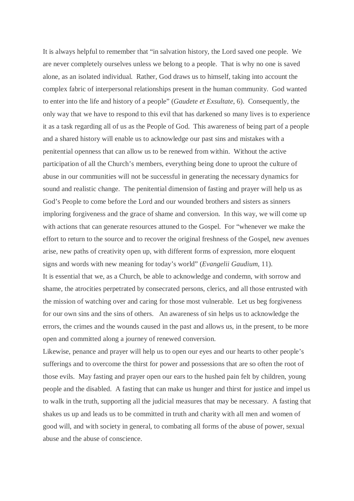It is always helpful to remember that "in salvation history, the Lord saved one people. We are never completely ourselves unless we belong to a people. That is why no one is saved alone, as an isolated individual. Rather, God draws us to himself, taking into account the complex fabric of interpersonal relationships present in the human community. God wanted to enter into the life and history of a people" (*Gaudete et Exsultate*, 6). Consequently, the only way that we have to respond to this evil that has darkened so many lives is to experience it as a task regarding all of us as the People of God. This awareness of being part of a people and a shared history will enable us to acknowledge our past sins and mistakes with a penitential openness that can allow us to be renewed from within. Without the active participation of all the Church's members, everything being done to uproot the culture of abuse in our communities will not be successful in generating the necessary dynamics for sound and realistic change. The penitential dimension of fasting and prayer will help us as God's People to come before the Lord and our wounded brothers and sisters as sinners imploring forgiveness and the grace of shame and conversion. In this way, we will come up with actions that can generate resources attuned to the Gospel. For "whenever we make the effort to return to the source and to recover the original freshness of the Gospel, new avenues arise, new paths of creativity open up, with different forms of expression, more eloquent signs and words with new meaning for today's world" (*Evangelii Gaudium*, 11). It is essential that we, as a Church, be able to acknowledge and condemn, with sorrow and shame, the atrocities perpetrated by consecrated persons, clerics, and all those entrusted with the mission of watching over and caring for those most vulnerable. Let us beg forgiveness for our own sins and the sins of others. An awareness of sin helps us to acknowledge the errors, the crimes and the wounds caused in the past and allows us, in the present, to be more open and committed along a journey of renewed conversion.

Likewise, penance and prayer will help us to open our eyes and our hearts to other people's sufferings and to overcome the thirst for power and possessions that are so often the root of those evils. May fasting and prayer open our ears to the hushed pain felt by children, young people and the disabled. A fasting that can make us hunger and thirst for justice and impel us to walk in the truth, supporting all the judicial measures that may be necessary. A fasting that shakes us up and leads us to be committed in truth and charity with all men and women of good will, and with society in general, to combating all forms of the abuse of power, sexual abuse and the abuse of conscience.